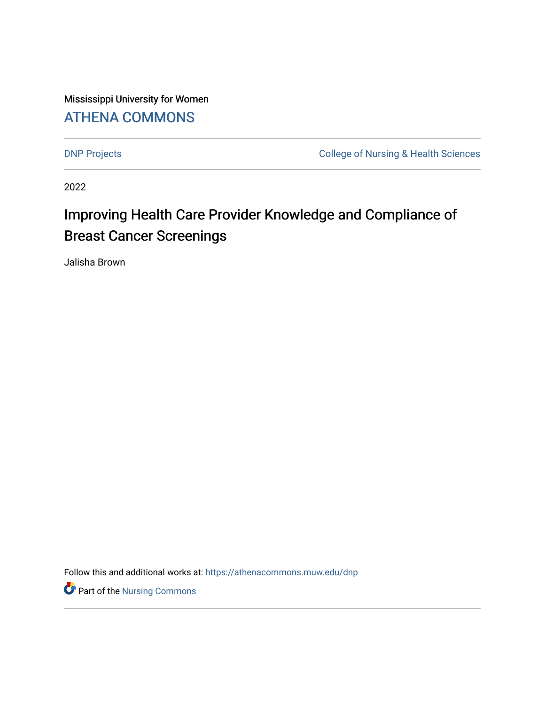Mississippi University for Women [ATHENA COMMONS](https://athenacommons.muw.edu/) 

[DNP Projects](https://athenacommons.muw.edu/dnp) **College of Nursing & Health Sciences** 

2022

# Improving Health Care Provider Knowledge and Compliance of Breast Cancer Screenings

Jalisha Brown

Follow this and additional works at: [https://athenacommons.muw.edu/dnp](https://athenacommons.muw.edu/dnp?utm_source=athenacommons.muw.edu%2Fdnp%2F5&utm_medium=PDF&utm_campaign=PDFCoverPages)

**P** Part of the Nursing Commons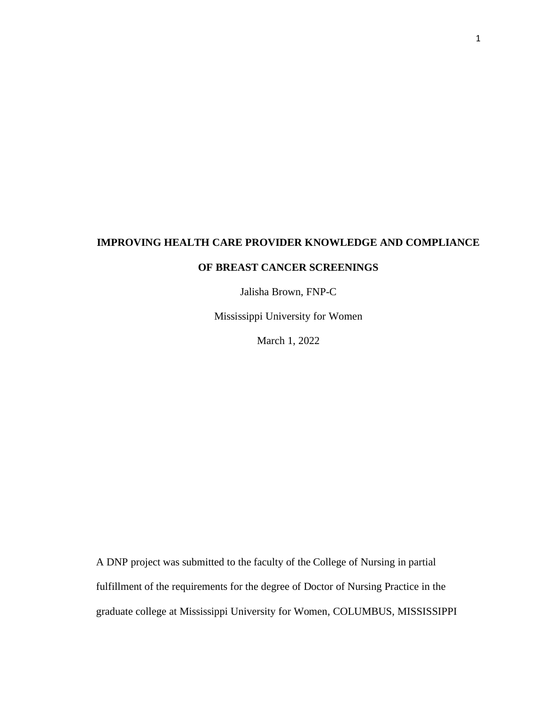#### **IMPROVING HEALTH CARE PROVIDER KNOWLEDGE AND COMPLIANCE**

#### **OF BREAST CANCER SCREENINGS**

Jalisha Brown, FNP-C

Mississippi University for Women

March 1, 2022

A DNP project was submitted to the faculty of the College of Nursing in partial fulfillment of the requirements for the degree of Doctor of Nursing Practice in the graduate college at Mississippi University for Women, COLUMBUS, MISSISSIPPI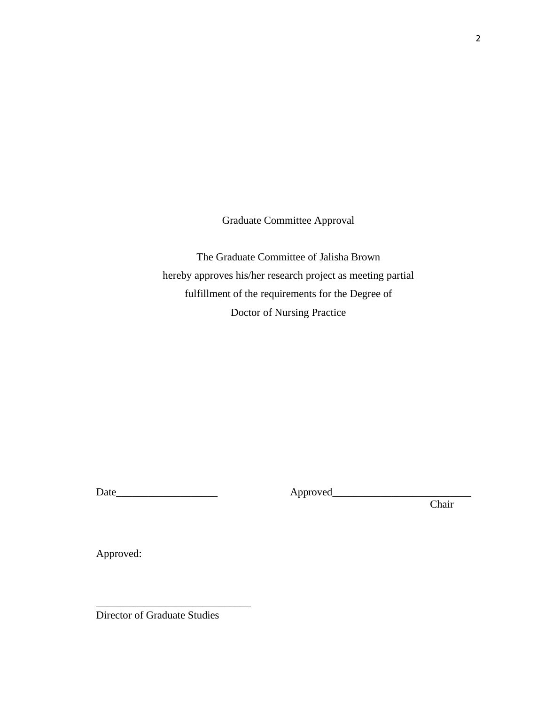Graduate Committee Approval

The Graduate Committee of Jalisha Brown hereby approves his/her research project as meeting partial fulfillment of the requirements for the Degree of Doctor of Nursing Practice

Date\_\_\_\_\_\_\_\_\_\_\_\_\_\_\_\_\_\_\_ Approved\_\_\_\_\_\_\_\_\_\_\_\_\_\_\_\_\_\_\_\_\_\_\_\_\_\_

Chair

Approved:

Director of Graduate Studies

\_\_\_\_\_\_\_\_\_\_\_\_\_\_\_\_\_\_\_\_\_\_\_\_\_\_\_\_\_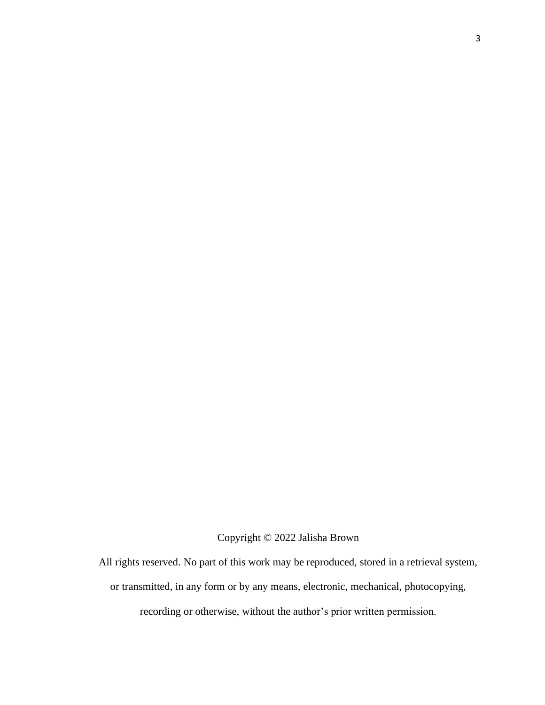Copyright © 2022 Jalisha Brown

All rights reserved. No part of this work may be reproduced, stored in a retrieval system, or transmitted, in any form or by any means, electronic, mechanical, photocopying, recording or otherwise, without the author's prior written permission.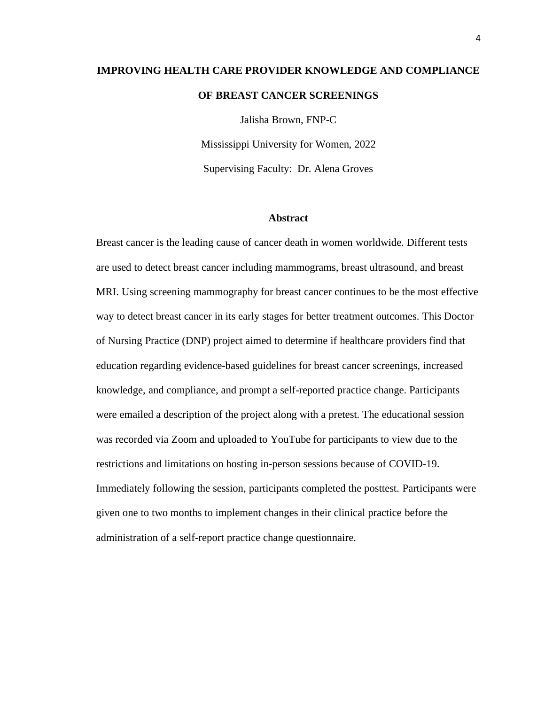# **IMPROVING HEALTH CARE PROVIDER KNOWLEDGE AND COMPLIANCE OF BREAST CANCER SCREENINGS**

Jalisha Brown, FNP-C

Mississippi University for Women, 2022 Supervising Faculty: Dr. Alena Groves

#### **Abstract**

Breast cancer is the leading cause of cancer death in women worldwide. Different tests are used to detect breast cancer including mammograms, breast ultrasound, and breast MRI. Using screening mammography for breast cancer continues to be the most effective way to detect breast cancer in its early stages for better treatment outcomes. This Doctor of Nursing Practice (DNP) project aimed to determine if healthcare providers find that education regarding evidence-based guidelines for breast cancer screenings, increased knowledge, and compliance, and prompt a self-reported practice change. Participants were emailed a description of the project along with a pretest. The educational session was recorded via Zoom and uploaded to YouTube for participants to view due to the restrictions and limitations on hosting in-person sessions because of COVID-19. Immediately following the session, participants completed the posttest. Participants were given one to two months to implement changes in their clinical practice before the administration of a self-report practice change questionnaire.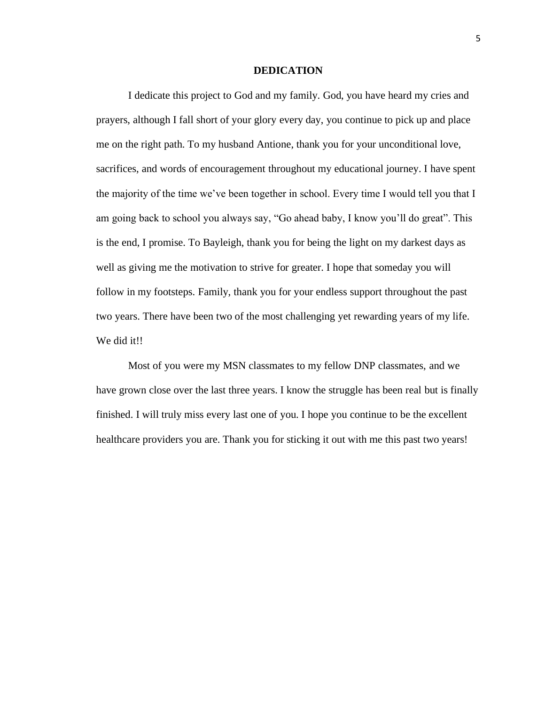#### **DEDICATION**

I dedicate this project to God and my family. God, you have heard my cries and prayers, although I fall short of your glory every day, you continue to pick up and place me on the right path. To my husband Antione, thank you for your unconditional love, sacrifices, and words of encouragement throughout my educational journey. I have spent the majority of the time we've been together in school. Every time I would tell you that I am going back to school you always say, "Go ahead baby, I know you'll do great". This is the end, I promise. To Bayleigh, thank you for being the light on my darkest days as well as giving me the motivation to strive for greater. I hope that someday you will follow in my footsteps. Family, thank you for your endless support throughout the past two years. There have been two of the most challenging yet rewarding years of my life. We did it!!

Most of you were my MSN classmates to my fellow DNP classmates, and we have grown close over the last three years. I know the struggle has been real but is finally finished. I will truly miss every last one of you. I hope you continue to be the excellent healthcare providers you are. Thank you for sticking it out with me this past two years!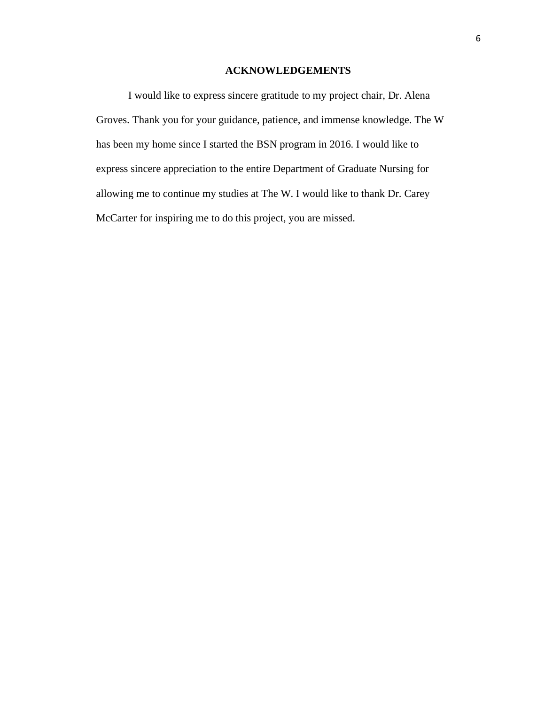#### **ACKNOWLEDGEMENTS**

I would like to express sincere gratitude to my project chair, Dr. Alena Groves. Thank you for your guidance, patience, and immense knowledge. The W has been my home since I started the BSN program in 2016. I would like to express sincere appreciation to the entire Department of Graduate Nursing for allowing me to continue my studies at The W. I would like to thank Dr. Carey McCarter for inspiring me to do this project, you are missed.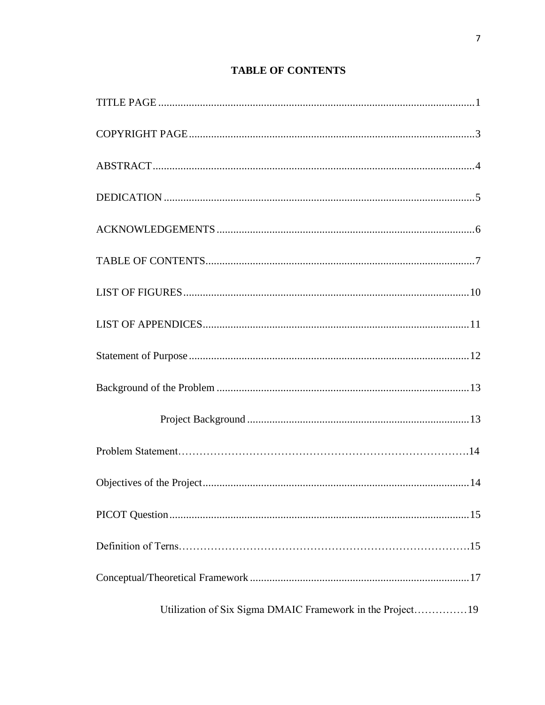## **TABLE OF CONTENTS**

| Utilization of Six Sigma DMAIC Framework in the Project 19 |
|------------------------------------------------------------|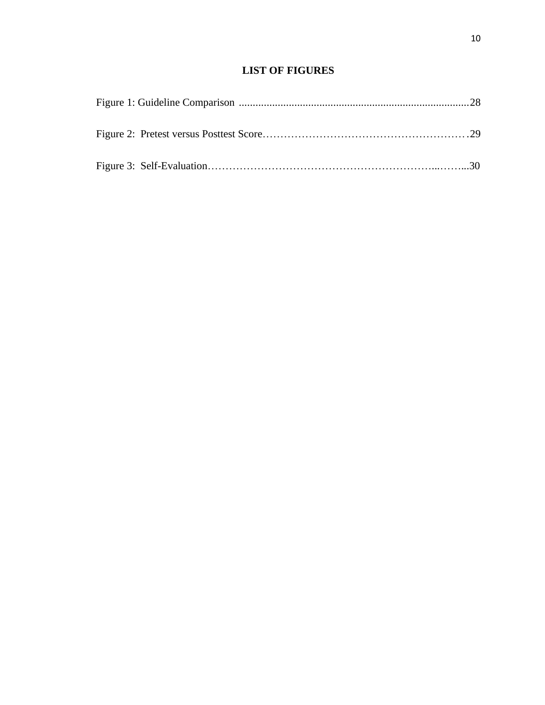### **LIST OF FIGURES**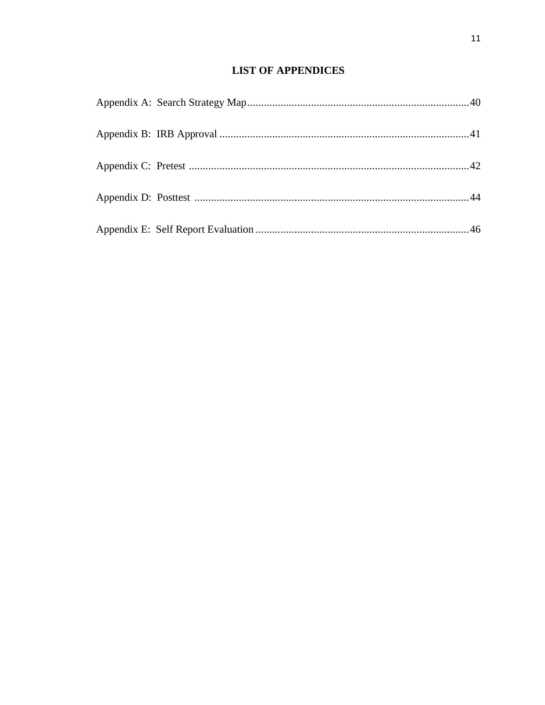## **LIST OF APPENDICES**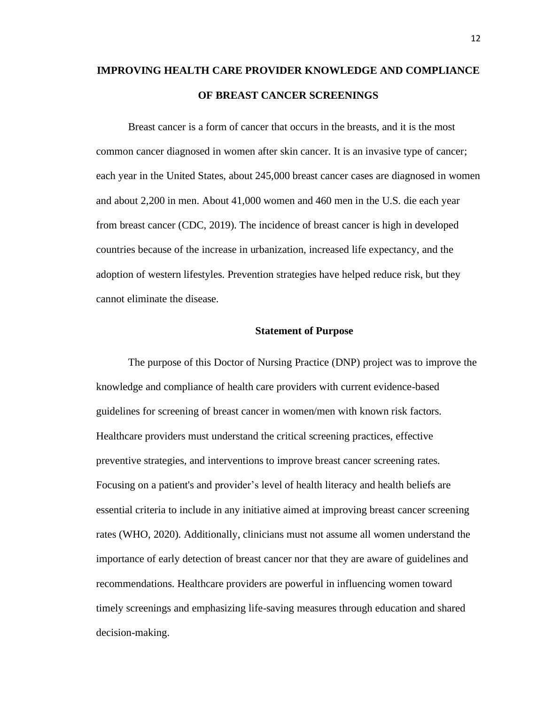## **IMPROVING HEALTH CARE PROVIDER KNOWLEDGE AND COMPLIANCE OF BREAST CANCER SCREENINGS**

Breast cancer is a form of cancer that occurs in the breasts, and it is the most common cancer diagnosed in women after skin cancer. It is an invasive type of cancer; each year in the United States, about 245,000 breast cancer cases are diagnosed in women and about 2,200 in men. About 41,000 women and 460 men in the U.S. die each year from breast cancer (CDC, 2019). The incidence of breast cancer is high in developed countries because of the increase in urbanization, increased life expectancy, and the adoption of western lifestyles. Prevention strategies have helped reduce risk, but they cannot eliminate the disease.

#### **Statement of Purpose**

The purpose of this Doctor of Nursing Practice (DNP) project was to improve the knowledge and compliance of health care providers with current evidence-based guidelines for screening of breast cancer in women/men with known risk factors. Healthcare providers must understand the critical screening practices, effective preventive strategies, and interventions to improve breast cancer screening rates. Focusing on a patient's and provider's level of health literacy and health beliefs are essential criteria to include in any initiative aimed at improving breast cancer screening rates (WHO, 2020). Additionally, clinicians must not assume all women understand the importance of early detection of breast cancer nor that they are aware of guidelines and recommendations. Healthcare providers are powerful in influencing women toward timely screenings and emphasizing life-saving measures through education and shared decision-making.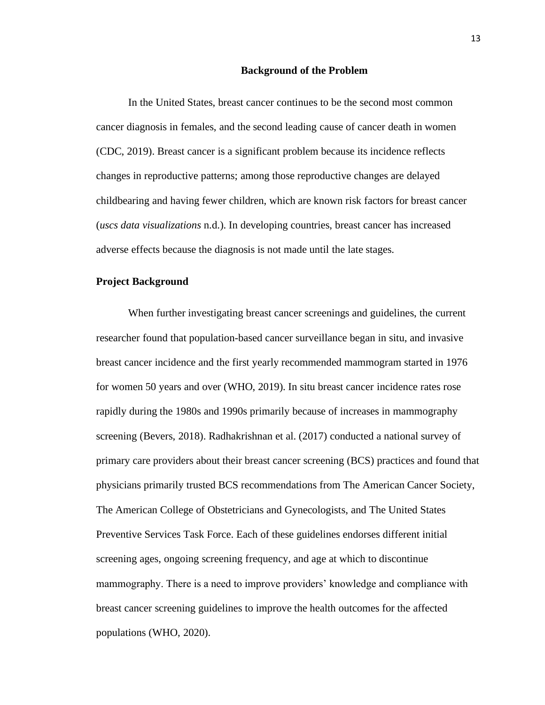#### **Background of the Problem**

In the United States, breast cancer continues to be the second most common cancer diagnosis in females, and the second leading cause of cancer death in women (CDC, 2019). Breast cancer is a significant problem because its incidence reflects changes in reproductive patterns; among those reproductive changes are delayed childbearing and having fewer children, which are known risk factors for breast cancer (*uscs data visualizations* n.d.). In developing countries, breast cancer has increased adverse effects because the diagnosis is not made until the late stages.

#### **Project Background**

When further investigating breast cancer screenings and guidelines, the current researcher found that population-based cancer surveillance began in situ, and invasive breast cancer incidence and the first yearly recommended mammogram started in 1976 for women 50 years and over (WHO, 2019). In situ breast cancer incidence rates rose rapidly during the 1980s and 1990s primarily because of increases in mammography screening (Bevers, 2018). Radhakrishnan et al. (2017) conducted a national survey of primary care providers about their breast cancer screening (BCS) practices and found that physicians primarily trusted BCS recommendations from The American Cancer Society, The American College of Obstetricians and Gynecologists, and The United States Preventive Services Task Force. Each of these guidelines endorses different initial screening ages, ongoing screening frequency, and age at which to discontinue mammography. There is a need to improve providers' knowledge and compliance with breast cancer screening guidelines to improve the health outcomes for the affected populations (WHO, 2020).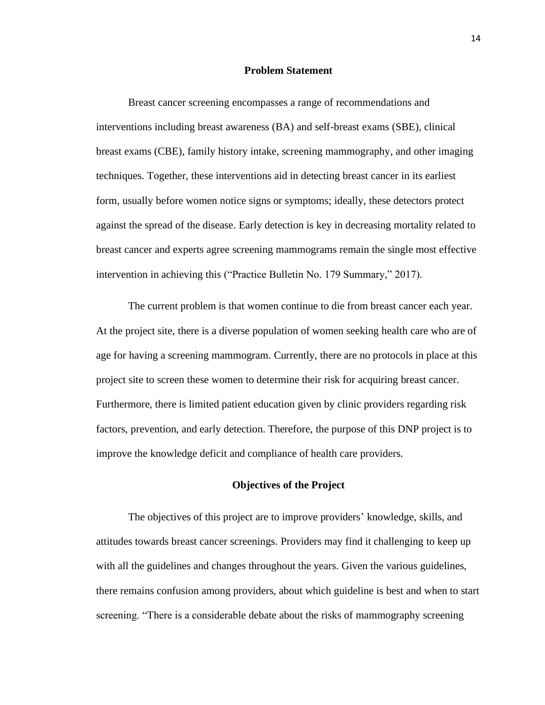#### **Problem Statement**

Breast cancer screening encompasses a range of recommendations and interventions including breast awareness (BA) and self-breast exams (SBE), clinical breast exams (CBE), family history intake, screening mammography, and other imaging techniques. Together, these interventions aid in detecting breast cancer in its earliest form, usually before women notice signs or symptoms; ideally, these detectors protect against the spread of the disease. Early detection is key in decreasing mortality related to breast cancer and experts agree screening mammograms remain the single most effective intervention in achieving this ("Practice Bulletin No. 179 Summary," 2017).

The current problem is that women continue to die from breast cancer each year. At the project site, there is a diverse population of women seeking health care who are of age for having a screening mammogram. Currently, there are no protocols in place at this project site to screen these women to determine their risk for acquiring breast cancer. Furthermore, there is limited patient education given by clinic providers regarding risk factors, prevention, and early detection. Therefore, the purpose of this DNP project is to improve the knowledge deficit and compliance of health care providers.

#### **Objectives of the Project**

The objectives of this project are to improve providers' knowledge, skills, and attitudes towards breast cancer screenings. Providers may find it challenging to keep up with all the guidelines and changes throughout the years. Given the various guidelines, there remains confusion among providers, about which guideline is best and when to start screening. "There is a considerable debate about the risks of mammography screening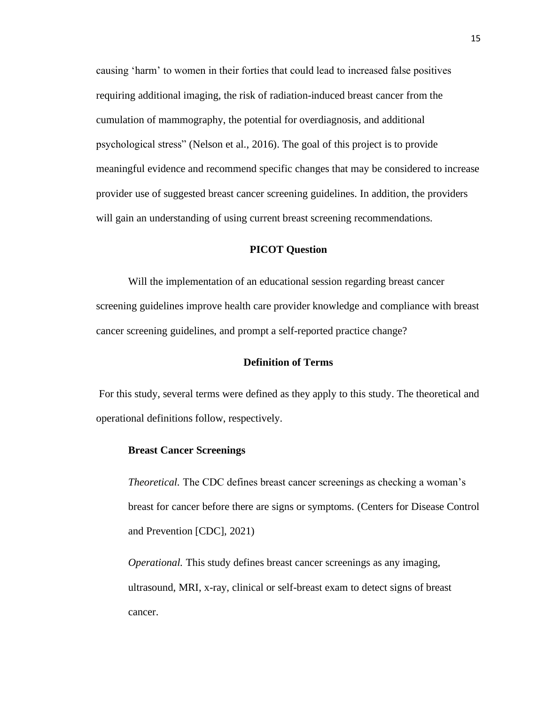causing 'harm' to women in their forties that could lead to increased false positives requiring additional imaging, the risk of radiation-induced breast cancer from the cumulation of mammography, the potential for overdiagnosis, and additional psychological stress" (Nelson et al., 2016). The goal of this project is to provide meaningful evidence and recommend specific changes that may be considered to increase provider use of suggested breast cancer screening guidelines. In addition, the providers will gain an understanding of using current breast screening recommendations.

#### **PICOT Question**

Will the implementation of an educational session regarding breast cancer screening guidelines improve health care provider knowledge and compliance with breast cancer screening guidelines, and prompt a self-reported practice change?

#### **Definition of Terms**

For this study, several terms were defined as they apply to this study. The theoretical and operational definitions follow, respectively.

#### **Breast Cancer Screenings**

*Theoretical.* The CDC defines breast cancer screenings as checking a woman's breast for cancer before there are signs or symptoms. (Centers for Disease Control and Prevention [CDC], 2021)

*Operational.* This study defines breast cancer screenings as any imaging, ultrasound, MRI, x-ray, clinical or self-breast exam to detect signs of breast cancer.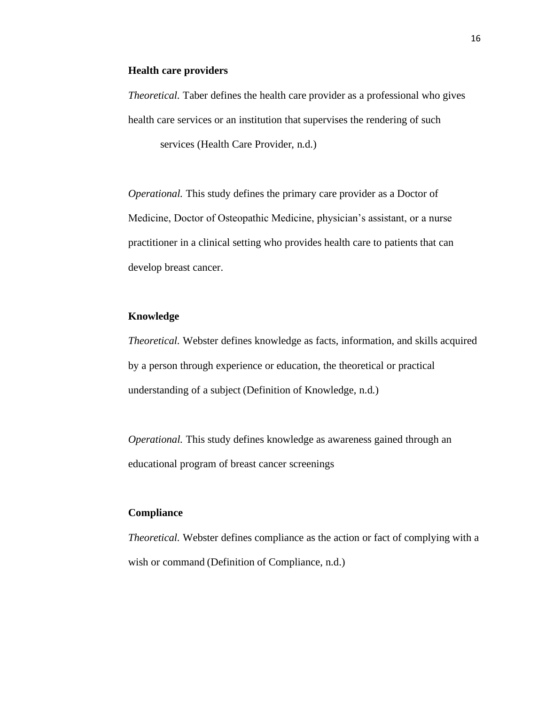#### **Health care providers**

*Theoretical.* Taber defines the health care provider as a professional who gives health care services or an institution that supervises the rendering of such services (Health Care Provider, n.d.)

*Operational.* This study defines the primary care provider as a Doctor of Medicine, Doctor of Osteopathic Medicine, physician's assistant, or a nurse practitioner in a clinical setting who provides health care to patients that can develop breast cancer.

#### **Knowledge**

*Theoretical.* Webster defines knowledge as facts, information, and skills acquired by a person through experience or education, the theoretical or practical understanding of a subject (Definition of Knowledge, n.d.)

*Operational.* This study defines knowledge as awareness gained through an educational program of breast cancer screenings

#### **Compliance**

*Theoretical.* Webster defines compliance as the action or fact of complying with a wish or command (Definition of Compliance, n.d.)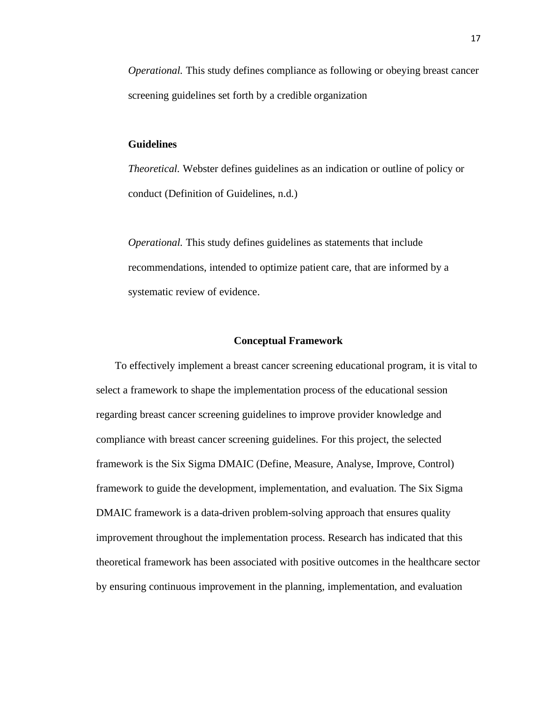*Operational.* This study defines compliance as following or obeying breast cancer screening guidelines set forth by a credible organization

#### **Guidelines**

*Theoretical.* Webster defines guidelines as an indication or outline of policy or conduct (Definition of Guidelines, n.d.)

*Operational.* This study defines guidelines as statements that include recommendations, intended to optimize patient care, that are informed by a systematic review of evidence.

#### **Conceptual Framework**

To effectively implement a breast cancer screening educational program, it is vital to select a framework to shape the implementation process of the educational session regarding breast cancer screening guidelines to improve provider knowledge and compliance with breast cancer screening guidelines. For this project, the selected framework is the Six Sigma DMAIC (Define, Measure, Analyse, Improve, Control) framework to guide the development, implementation, and evaluation. The Six Sigma DMAIC framework is a data-driven problem-solving approach that ensures quality improvement throughout the implementation process. Research has indicated that this theoretical framework has been associated with positive outcomes in the healthcare sector by ensuring continuous improvement in the planning, implementation, and evaluation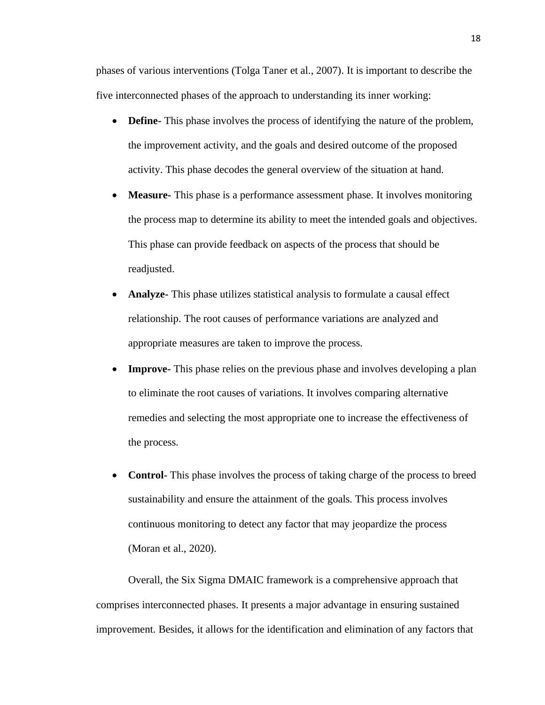phases of various interventions (Tolga Taner et al., 2007). It is important to describe the five interconnected phases of the approach to understanding its inner working:

- **Define-** This phase involves the process of identifying the nature of the problem, the improvement activity, and the goals and desired outcome of the proposed activity. This phase decodes the general overview of the situation at hand.
- **Measure-** This phase is a performance assessment phase. It involves monitoring the process map to determine its ability to meet the intended goals and objectives. This phase can provide feedback on aspects of the process that should be readjusted.
- **Analyze-** This phase utilizes statistical analysis to formulate a causal effect relationship. The root causes of performance variations are analyzed and appropriate measures are taken to improve the process.
- **Improve-** This phase relies on the previous phase and involves developing a plan to eliminate the root causes of variations. It involves comparing alternative remedies and selecting the most appropriate one to increase the effectiveness of the process.
- **Control-** This phase involves the process of taking charge of the process to breed sustainability and ensure the attainment of the goals. This process involves continuous monitoring to detect any factor that may jeopardize the process (Moran et al., 2020).

Overall, the Six Sigma DMAIC framework is a comprehensive approach that comprises interconnected phases. It presents a major advantage in ensuring sustained improvement. Besides, it allows for the identification and elimination of any factors that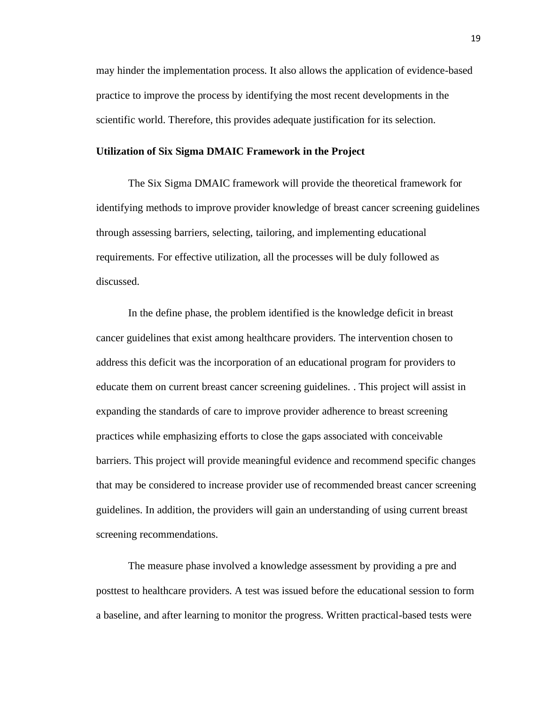may hinder the implementation process. It also allows the application of evidence-based practice to improve the process by identifying the most recent developments in the scientific world. Therefore, this provides adequate justification for its selection.

#### **Utilization of Six Sigma DMAIC Framework in the Project**

The Six Sigma DMAIC framework will provide the theoretical framework for identifying methods to improve provider knowledge of breast cancer screening guidelines through assessing barriers, selecting, tailoring, and implementing educational requirements. For effective utilization, all the processes will be duly followed as discussed.

In the define phase, the problem identified is the knowledge deficit in breast cancer guidelines that exist among healthcare providers. The intervention chosen to address this deficit was the incorporation of an educational program for providers to educate them on current breast cancer screening guidelines. . This project will assist in expanding the standards of care to improve provider adherence to breast screening practices while emphasizing efforts to close the gaps associated with conceivable barriers. This project will provide meaningful evidence and recommend specific changes that may be considered to increase provider use of recommended breast cancer screening guidelines. In addition, the providers will gain an understanding of using current breast screening recommendations.

The measure phase involved a knowledge assessment by providing a pre and posttest to healthcare providers. A test was issued before the educational session to form a baseline, and after learning to monitor the progress. Written practical-based tests were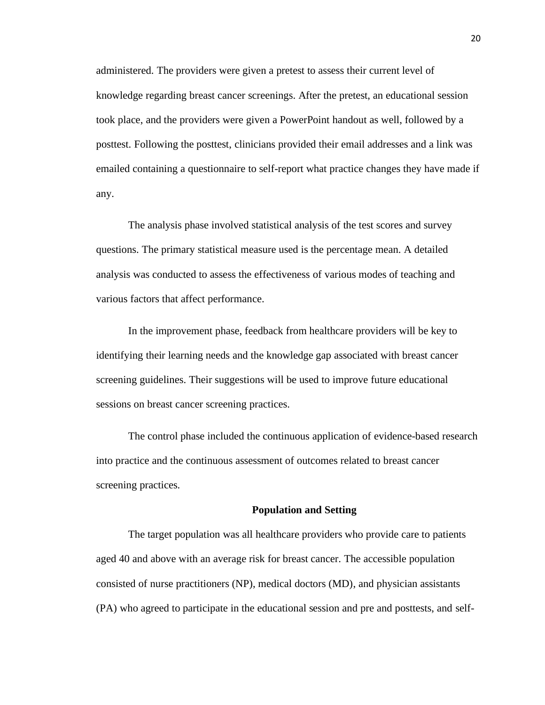administered. The providers were given a pretest to assess their current level of knowledge regarding breast cancer screenings. After the pretest, an educational session took place, and the providers were given a PowerPoint handout as well, followed by a posttest. Following the posttest, clinicians provided their email addresses and a link was emailed containing a questionnaire to self-report what practice changes they have made if any.

The analysis phase involved statistical analysis of the test scores and survey questions. The primary statistical measure used is the percentage mean. A detailed analysis was conducted to assess the effectiveness of various modes of teaching and various factors that affect performance.

In the improvement phase, feedback from healthcare providers will be key to identifying their learning needs and the knowledge gap associated with breast cancer screening guidelines. Their suggestions will be used to improve future educational sessions on breast cancer screening practices.

The control phase included the continuous application of evidence-based research into practice and the continuous assessment of outcomes related to breast cancer screening practices.

#### **Population and Setting**

The target population was all healthcare providers who provide care to patients aged 40 and above with an average risk for breast cancer. The accessible population consisted of nurse practitioners (NP), medical doctors (MD), and physician assistants (PA) who agreed to participate in the educational session and pre and posttests, and self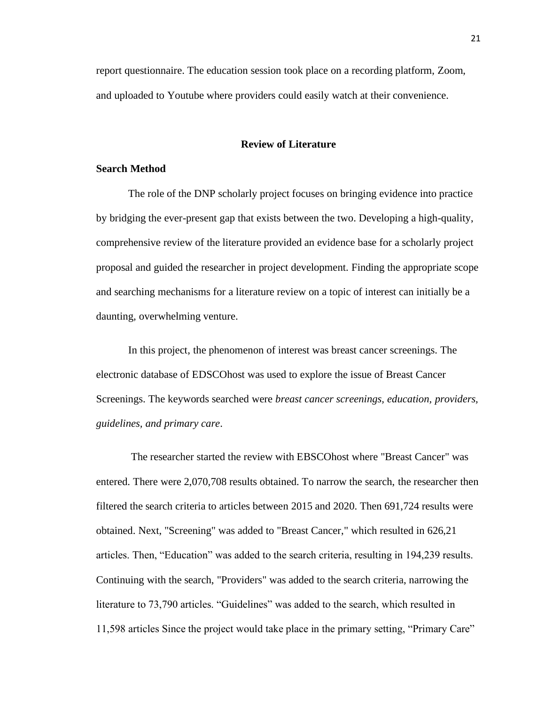report questionnaire. The education session took place on a recording platform, Zoom, and uploaded to Youtube where providers could easily watch at their convenience.

#### **Review of Literature**

#### **Search Method**

The role of the DNP scholarly project focuses on bringing evidence into practice by bridging the ever-present gap that exists between the two. Developing a high-quality, comprehensive review of the literature provided an evidence base for a scholarly project proposal and guided the researcher in project development. Finding the appropriate scope and searching mechanisms for a literature review on a topic of interest can initially be a daunting, overwhelming venture.

In this project, the phenomenon of interest was breast cancer screenings. The electronic database of EDSCOhost was used to explore the issue of Breast Cancer Screenings. The keywords searched were *breast cancer screenings, education, providers, guidelines, and primary care*.

The researcher started the review with EBSCOhost where "Breast Cancer" was entered. There were 2,070,708 results obtained. To narrow the search, the researcher then filtered the search criteria to articles between 2015 and 2020. Then 691,724 results were obtained. Next, "Screening" was added to "Breast Cancer," which resulted in 626,21 articles. Then, "Education" was added to the search criteria, resulting in 194,239 results. Continuing with the search, "Providers" was added to the search criteria, narrowing the literature to 73,790 articles. "Guidelines" was added to the search, which resulted in 11,598 articles Since the project would take place in the primary setting, "Primary Care"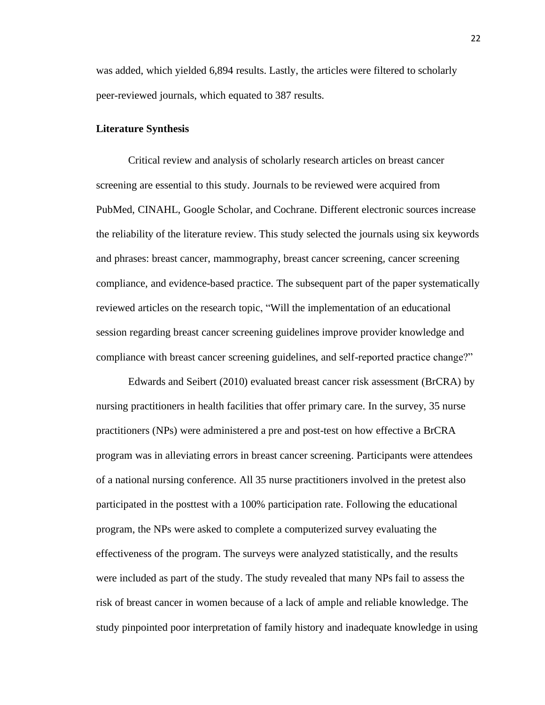was added, which yielded 6,894 results. Lastly, the articles were filtered to scholarly peer-reviewed journals, which equated to 387 results.

#### **Literature Synthesis**

Critical review and analysis of scholarly research articles on breast cancer screening are essential to this study. Journals to be reviewed were acquired from PubMed, CINAHL, Google Scholar, and Cochrane. Different electronic sources increase the reliability of the literature review. This study selected the journals using six keywords and phrases: breast cancer, mammography, breast cancer screening, cancer screening compliance, and evidence-based practice. The subsequent part of the paper systematically reviewed articles on the research topic, "Will the implementation of an educational session regarding breast cancer screening guidelines improve provider knowledge and compliance with breast cancer screening guidelines, and self-reported practice change?"

Edwards and Seibert (2010) evaluated breast cancer risk assessment (BrCRA) by nursing practitioners in health facilities that offer primary care. In the survey, 35 nurse practitioners (NPs) were administered a pre and post-test on how effective a BrCRA program was in alleviating errors in breast cancer screening. Participants were attendees of a national nursing conference. All 35 nurse practitioners involved in the pretest also participated in the posttest with a 100% participation rate. Following the educational program, the NPs were asked to complete a computerized survey evaluating the effectiveness of the program. The surveys were analyzed statistically, and the results were included as part of the study. The study revealed that many NPs fail to assess the risk of breast cancer in women because of a lack of ample and reliable knowledge. The study pinpointed poor interpretation of family history and inadequate knowledge in using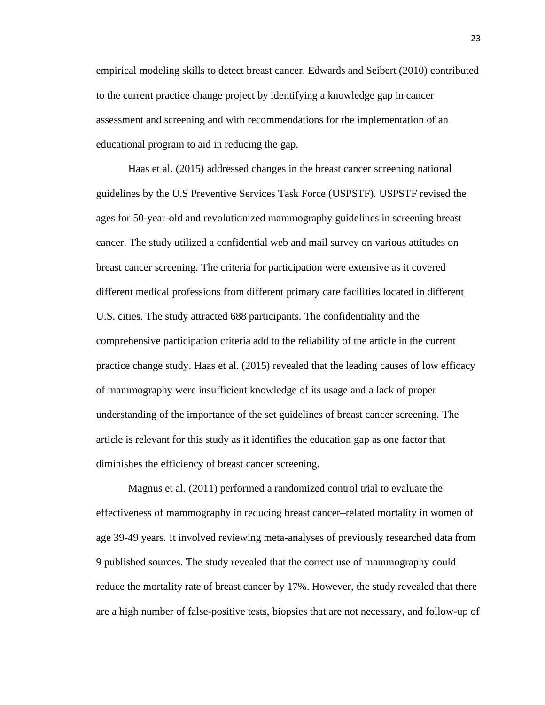empirical modeling skills to detect breast cancer. Edwards and Seibert (2010) contributed to the current practice change project by identifying a knowledge gap in cancer assessment and screening and with recommendations for the implementation of an educational program to aid in reducing the gap.

Haas et al. (2015) addressed changes in the breast cancer screening national guidelines by the U.S Preventive Services Task Force (USPSTF). USPSTF revised the ages for 50-year-old and revolutionized mammography guidelines in screening breast cancer. The study utilized a confidential web and mail survey on various attitudes on breast cancer screening. The criteria for participation were extensive as it covered different medical professions from different primary care facilities located in different U.S. cities. The study attracted 688 participants. The confidentiality and the comprehensive participation criteria add to the reliability of the article in the current practice change study. Haas et al. (2015) revealed that the leading causes of low efficacy of mammography were insufficient knowledge of its usage and a lack of proper understanding of the importance of the set guidelines of breast cancer screening. The article is relevant for this study as it identifies the education gap as one factor that diminishes the efficiency of breast cancer screening.

Magnus et al. (2011) performed a randomized control trial to evaluate the effectiveness of mammography in reducing breast cancer–related mortality in women of age 39-49 years. It involved reviewing meta-analyses of previously researched data from 9 published sources. The study revealed that the correct use of mammography could reduce the mortality rate of breast cancer by 17%. However, the study revealed that there are a high number of false-positive tests, biopsies that are not necessary, and follow-up of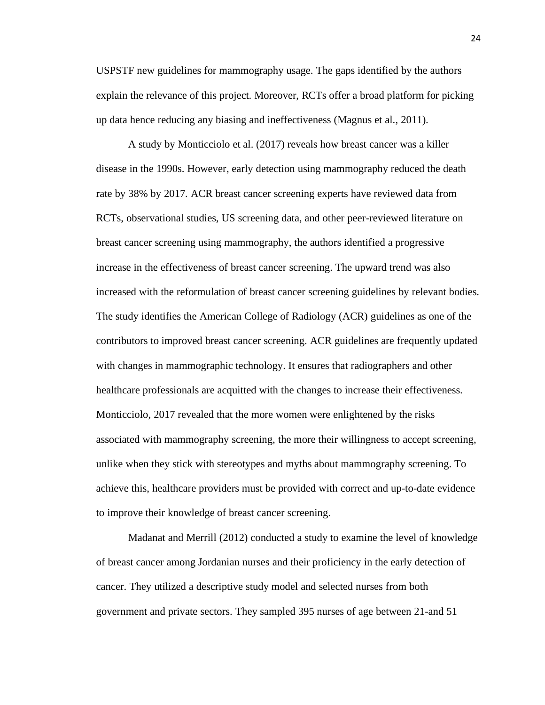USPSTF new guidelines for mammography usage. The gaps identified by the authors explain the relevance of this project. Moreover, RCTs offer a broad platform for picking up data hence reducing any biasing and ineffectiveness (Magnus et al., 2011).

A study by Monticciolo et al. (2017) reveals how breast cancer was a killer disease in the 1990s. However, early detection using mammography reduced the death rate by 38% by 2017. ACR breast cancer screening experts have reviewed data from RCTs, observational studies, US screening data, and other peer-reviewed literature on breast cancer screening using mammography, the authors identified a progressive increase in the effectiveness of breast cancer screening. The upward trend was also increased with the reformulation of breast cancer screening guidelines by relevant bodies. The study identifies the American College of Radiology (ACR) guidelines as one of the contributors to improved breast cancer screening. ACR guidelines are frequently updated with changes in mammographic technology. It ensures that radiographers and other healthcare professionals are acquitted with the changes to increase their effectiveness. Monticciolo, 2017 revealed that the more women were enlightened by the risks associated with mammography screening, the more their willingness to accept screening, unlike when they stick with stereotypes and myths about mammography screening. To achieve this, healthcare providers must be provided with correct and up-to-date evidence to improve their knowledge of breast cancer screening.

Madanat and Merrill (2012) conducted a study to examine the level of knowledge of breast cancer among Jordanian nurses and their proficiency in the early detection of cancer. They utilized a descriptive study model and selected nurses from both government and private sectors. They sampled 395 nurses of age between 21-and 51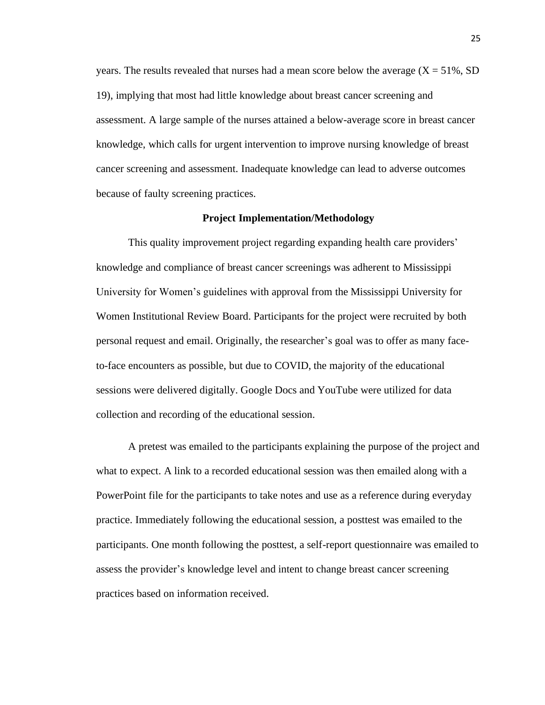years. The results revealed that nurses had a mean score below the average  $(X = 51\%, SD)$ 19), implying that most had little knowledge about breast cancer screening and assessment. A large sample of the nurses attained a below-average score in breast cancer knowledge, which calls for urgent intervention to improve nursing knowledge of breast cancer screening and assessment. Inadequate knowledge can lead to adverse outcomes because of faulty screening practices.

#### **Project Implementation/Methodology**

This quality improvement project regarding expanding health care providers' knowledge and compliance of breast cancer screenings was adherent to Mississippi University for Women's guidelines with approval from the Mississippi University for Women Institutional Review Board. Participants for the project were recruited by both personal request and email. Originally, the researcher's goal was to offer as many faceto-face encounters as possible, but due to COVID, the majority of the educational sessions were delivered digitally. Google Docs and YouTube were utilized for data collection and recording of the educational session.

A pretest was emailed to the participants explaining the purpose of the project and what to expect. A link to a recorded educational session was then emailed along with a PowerPoint file for the participants to take notes and use as a reference during everyday practice. Immediately following the educational session, a posttest was emailed to the participants. One month following the posttest, a self-report questionnaire was emailed to assess the provider's knowledge level and intent to change breast cancer screening practices based on information received.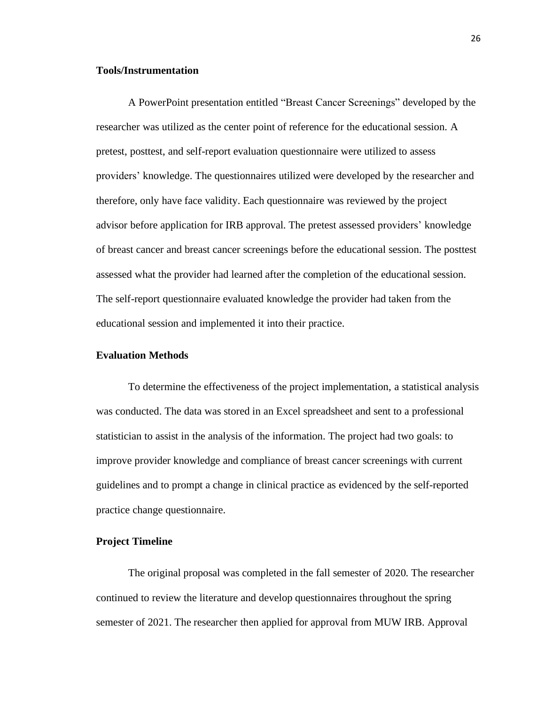#### **Tools/Instrumentation**

A PowerPoint presentation entitled "Breast Cancer Screenings" developed by the researcher was utilized as the center point of reference for the educational session. A pretest, posttest, and self-report evaluation questionnaire were utilized to assess providers' knowledge. The questionnaires utilized were developed by the researcher and therefore, only have face validity. Each questionnaire was reviewed by the project advisor before application for IRB approval. The pretest assessed providers' knowledge of breast cancer and breast cancer screenings before the educational session. The posttest assessed what the provider had learned after the completion of the educational session. The self-report questionnaire evaluated knowledge the provider had taken from the educational session and implemented it into their practice.

#### **Evaluation Methods**

To determine the effectiveness of the project implementation, a statistical analysis was conducted. The data was stored in an Excel spreadsheet and sent to a professional statistician to assist in the analysis of the information. The project had two goals: to improve provider knowledge and compliance of breast cancer screenings with current guidelines and to prompt a change in clinical practice as evidenced by the self-reported practice change questionnaire.

#### **Project Timeline**

The original proposal was completed in the fall semester of 2020. The researcher continued to review the literature and develop questionnaires throughout the spring semester of 2021. The researcher then applied for approval from MUW IRB. Approval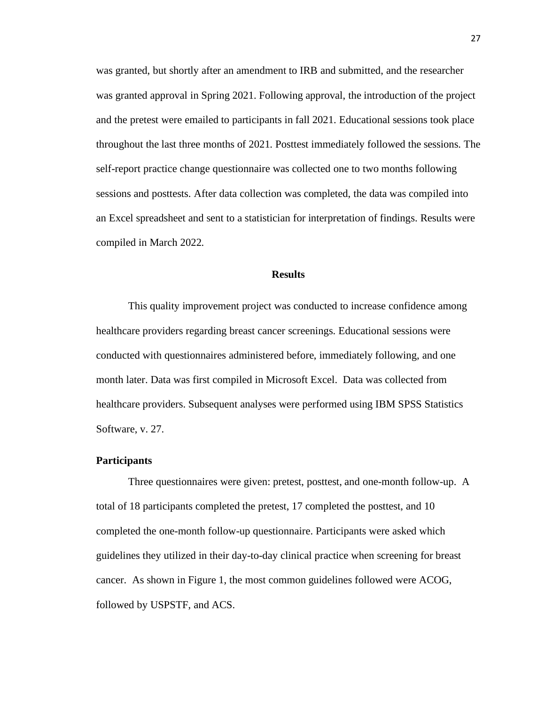was granted, but shortly after an amendment to IRB and submitted, and the researcher was granted approval in Spring 2021. Following approval, the introduction of the project and the pretest were emailed to participants in fall 2021. Educational sessions took place throughout the last three months of 2021. Posttest immediately followed the sessions. The self-report practice change questionnaire was collected one to two months following sessions and posttests. After data collection was completed, the data was compiled into an Excel spreadsheet and sent to a statistician for interpretation of findings. Results were compiled in March 2022.

#### **Results**

This quality improvement project was conducted to increase confidence among healthcare providers regarding breast cancer screenings. Educational sessions were conducted with questionnaires administered before, immediately following, and one month later. Data was first compiled in Microsoft Excel. Data was collected from healthcare providers. Subsequent analyses were performed using IBM SPSS Statistics Software, v. 27.

#### **Participants**

Three questionnaires were given: pretest, posttest, and one-month follow-up. A total of 18 participants completed the pretest, 17 completed the posttest, and 10 completed the one-month follow-up questionnaire. Participants were asked which guidelines they utilized in their day-to-day clinical practice when screening for breast cancer. As shown in Figure 1, the most common guidelines followed were ACOG, followed by USPSTF, and ACS.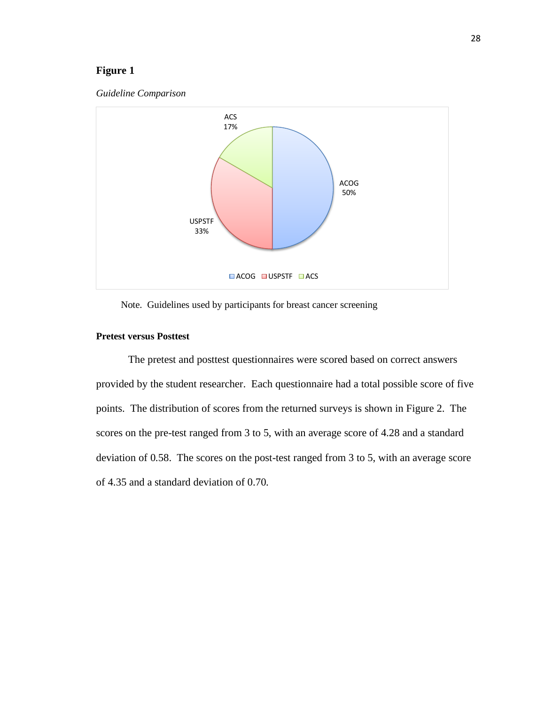#### **Figure 1**





Note. Guidelines used by participants for breast cancer screening

#### **Pretest versus Posttest**

The pretest and posttest questionnaires were scored based on correct answers provided by the student researcher. Each questionnaire had a total possible score of five points. The distribution of scores from the returned surveys is shown in Figure 2. The scores on the pre-test ranged from 3 to 5, with an average score of 4.28 and a standard deviation of 0.58. The scores on the post-test ranged from 3 to 5, with an average score of 4.35 and a standard deviation of 0.70.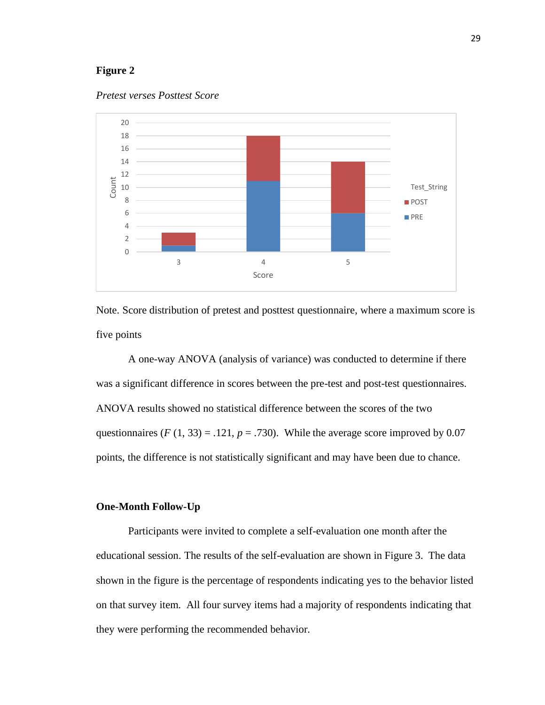#### **Figure 2**





Note. Score distribution of pretest and posttest questionnaire, where a maximum score is five points

A one-way ANOVA (analysis of variance) was conducted to determine if there was a significant difference in scores between the pre-test and post-test questionnaires. ANOVA results showed no statistical difference between the scores of the two questionnaires  $(F(1, 33) = .121, p = .730)$ . While the average score improved by 0.07 points, the difference is not statistically significant and may have been due to chance.

#### **One-Month Follow-Up**

Participants were invited to complete a self-evaluation one month after the educational session. The results of the self-evaluation are shown in Figure 3. The data shown in the figure is the percentage of respondents indicating yes to the behavior listed on that survey item. All four survey items had a majority of respondents indicating that they were performing the recommended behavior.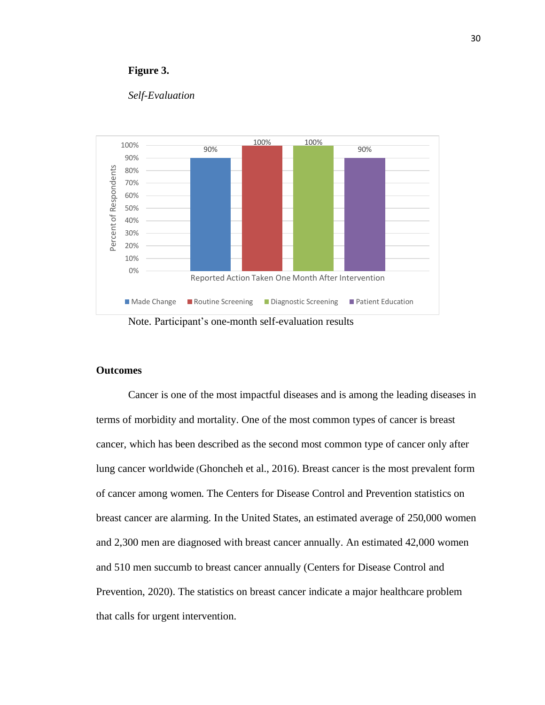#### **Figure 3.**

#### *Self-Evaluation*



Note. Participant's one-month self-evaluation results

#### **Outcomes**

Cancer is one of the most impactful diseases and is among the leading diseases in terms of morbidity and mortality. One of the most common types of cancer is breast cancer, which has been described as the second most common type of cancer only after lung cancer worldwide (Ghoncheh et al., 2016). Breast cancer is the most prevalent form of cancer among women. The Centers for Disease Control and Prevention statistics on breast cancer are alarming. In the United States, an estimated average of 250,000 women and 2,300 men are diagnosed with breast cancer annually. An estimated 42,000 women and 510 men succumb to breast cancer annually (Centers for Disease Control and Prevention, 2020). The statistics on breast cancer indicate a major healthcare problem that calls for urgent intervention.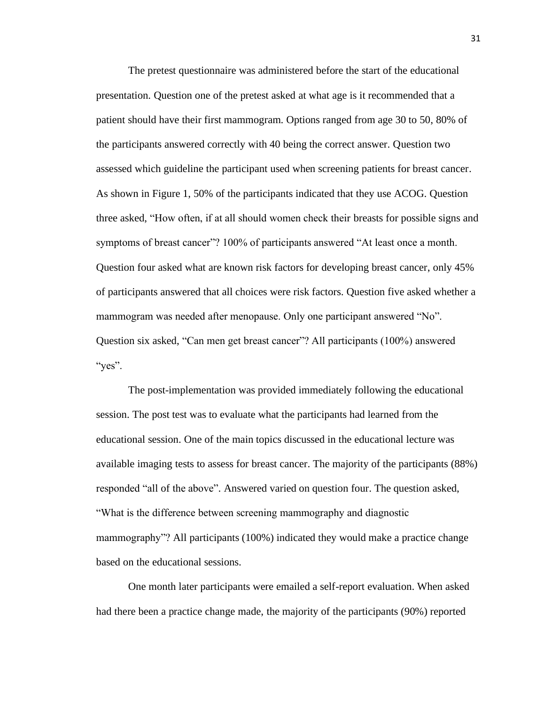The pretest questionnaire was administered before the start of the educational presentation. Question one of the pretest asked at what age is it recommended that a patient should have their first mammogram. Options ranged from age 30 to 50, 80% of the participants answered correctly with 40 being the correct answer. Question two assessed which guideline the participant used when screening patients for breast cancer. As shown in Figure 1, 50% of the participants indicated that they use ACOG. Question three asked, "How often, if at all should women check their breasts for possible signs and symptoms of breast cancer"? 100% of participants answered "At least once a month. Question four asked what are known risk factors for developing breast cancer, only 45% of participants answered that all choices were risk factors. Question five asked whether a mammogram was needed after menopause. Only one participant answered "No". Question six asked, "Can men get breast cancer"? All participants (100%) answered "yes".

The post-implementation was provided immediately following the educational session. The post test was to evaluate what the participants had learned from the educational session. One of the main topics discussed in the educational lecture was available imaging tests to assess for breast cancer. The majority of the participants (88%) responded "all of the above". Answered varied on question four. The question asked, "What is the difference between screening mammography and diagnostic mammography"? All participants (100%) indicated they would make a practice change based on the educational sessions.

One month later participants were emailed a self-report evaluation. When asked had there been a practice change made, the majority of the participants (90%) reported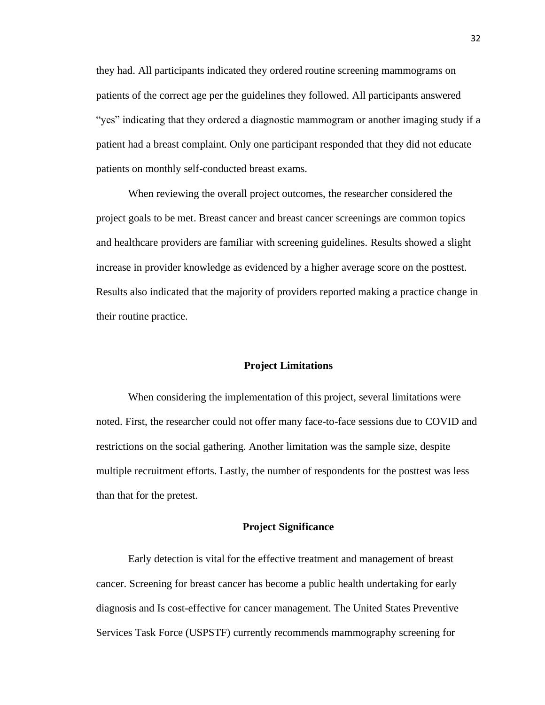they had. All participants indicated they ordered routine screening mammograms on patients of the correct age per the guidelines they followed. All participants answered "yes" indicating that they ordered a diagnostic mammogram or another imaging study if a patient had a breast complaint. Only one participant responded that they did not educate patients on monthly self-conducted breast exams.

When reviewing the overall project outcomes, the researcher considered the project goals to be met. Breast cancer and breast cancer screenings are common topics and healthcare providers are familiar with screening guidelines. Results showed a slight increase in provider knowledge as evidenced by a higher average score on the posttest. Results also indicated that the majority of providers reported making a practice change in their routine practice.

#### **Project Limitations**

When considering the implementation of this project, several limitations were noted. First, the researcher could not offer many face-to-face sessions due to COVID and restrictions on the social gathering. Another limitation was the sample size, despite multiple recruitment efforts. Lastly, the number of respondents for the posttest was less than that for the pretest.

#### **Project Significance**

Early detection is vital for the effective treatment and management of breast cancer. Screening for breast cancer has become a public health undertaking for early diagnosis and Is cost-effective for cancer management. The United States Preventive Services Task Force (USPSTF) currently recommends mammography screening for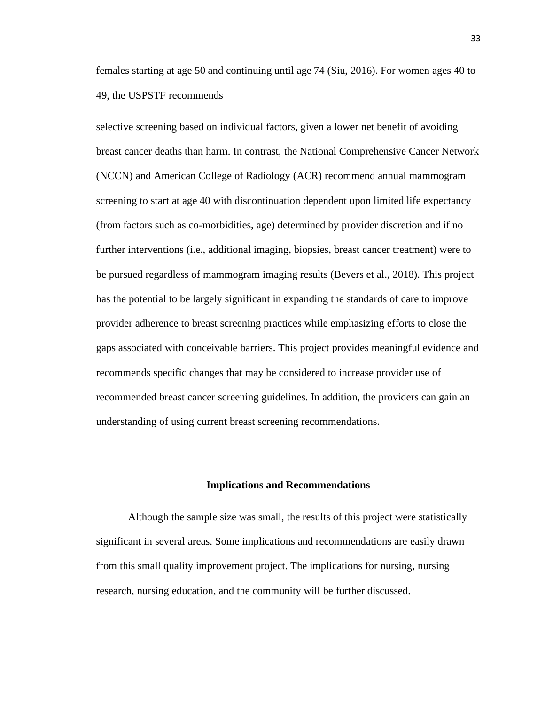females starting at age 50 and continuing until age 74 (Siu, 2016). For women ages 40 to 49, the USPSTF recommends

selective screening based on individual factors, given a lower net benefit of avoiding breast cancer deaths than harm. In contrast, the National Comprehensive Cancer Network (NCCN) and American College of Radiology (ACR) recommend annual mammogram screening to start at age 40 with discontinuation dependent upon limited life expectancy (from factors such as co-morbidities, age) determined by provider discretion and if no further interventions (i.e., additional imaging, biopsies, breast cancer treatment) were to be pursued regardless of mammogram imaging results (Bevers et al., 2018). This project has the potential to be largely significant in expanding the standards of care to improve provider adherence to breast screening practices while emphasizing efforts to close the gaps associated with conceivable barriers. This project provides meaningful evidence and recommends specific changes that may be considered to increase provider use of recommended breast cancer screening guidelines. In addition, the providers can gain an understanding of using current breast screening recommendations.

#### **Implications and Recommendations**

Although the sample size was small, the results of this project were statistically significant in several areas. Some implications and recommendations are easily drawn from this small quality improvement project. The implications for nursing, nursing research, nursing education, and the community will be further discussed.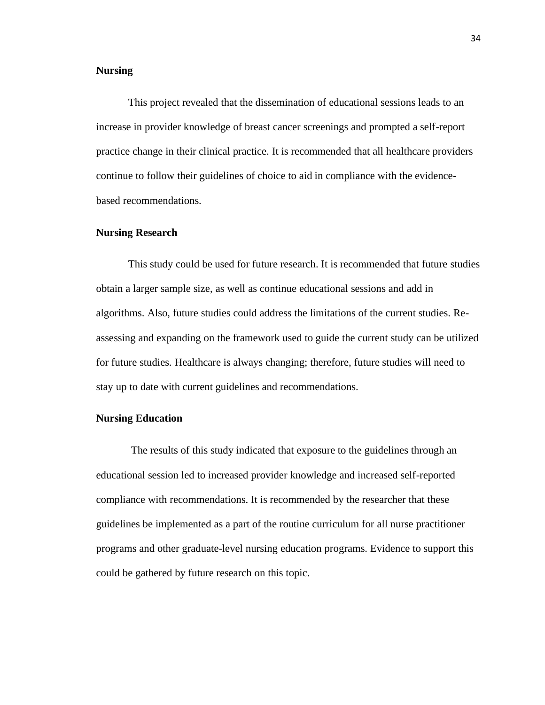#### **Nursing**

This project revealed that the dissemination of educational sessions leads to an increase in provider knowledge of breast cancer screenings and prompted a self-report practice change in their clinical practice. It is recommended that all healthcare providers continue to follow their guidelines of choice to aid in compliance with the evidencebased recommendations.

#### **Nursing Research**

This study could be used for future research. It is recommended that future studies obtain a larger sample size, as well as continue educational sessions and add in algorithms. Also, future studies could address the limitations of the current studies. Reassessing and expanding on the framework used to guide the current study can be utilized for future studies. Healthcare is always changing; therefore, future studies will need to stay up to date with current guidelines and recommendations.

#### **Nursing Education**

The results of this study indicated that exposure to the guidelines through an educational session led to increased provider knowledge and increased self-reported compliance with recommendations. It is recommended by the researcher that these guidelines be implemented as a part of the routine curriculum for all nurse practitioner programs and other graduate-level nursing education programs. Evidence to support this could be gathered by future research on this topic.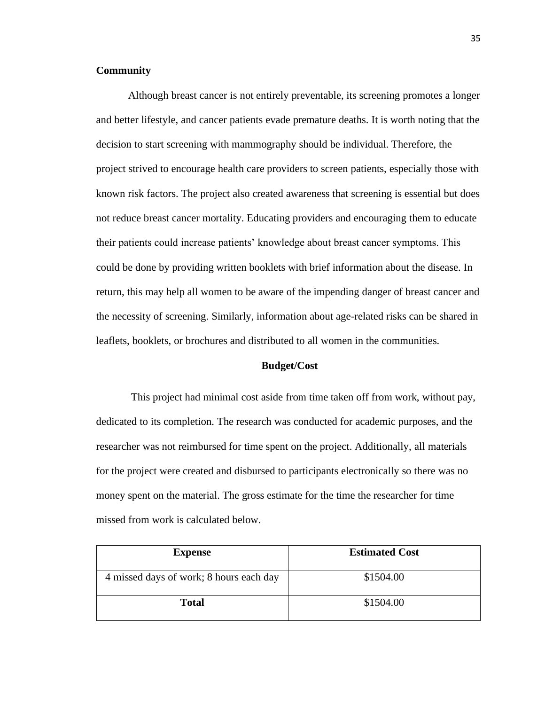#### **Community**

Although breast cancer is not entirely preventable, its screening promotes a longer and better lifestyle, and cancer patients evade premature deaths. It is worth noting that the decision to start screening with mammography should be individual. Therefore, the project strived to encourage health care providers to screen patients, especially those with known risk factors. The project also created awareness that screening is essential but does not reduce breast cancer mortality. Educating providers and encouraging them to educate their patients could increase patients' knowledge about breast cancer symptoms. This could be done by providing written booklets with brief information about the disease. In return, this may help all women to be aware of the impending danger of breast cancer and the necessity of screening. Similarly, information about age-related risks can be shared in leaflets, booklets, or brochures and distributed to all women in the communities.

#### **Budget/Cost**

This project had minimal cost aside from time taken off from work, without pay, dedicated to its completion. The research was conducted for academic purposes, and the researcher was not reimbursed for time spent on the project. Additionally, all materials for the project were created and disbursed to participants electronically so there was no money spent on the material. The gross estimate for the time the researcher for time missed from work is calculated below.

| <b>Expense</b>                          | <b>Estimated Cost</b> |
|-----------------------------------------|-----------------------|
| 4 missed days of work; 8 hours each day | \$1504.00             |
| <b>Total</b>                            | \$1504.00             |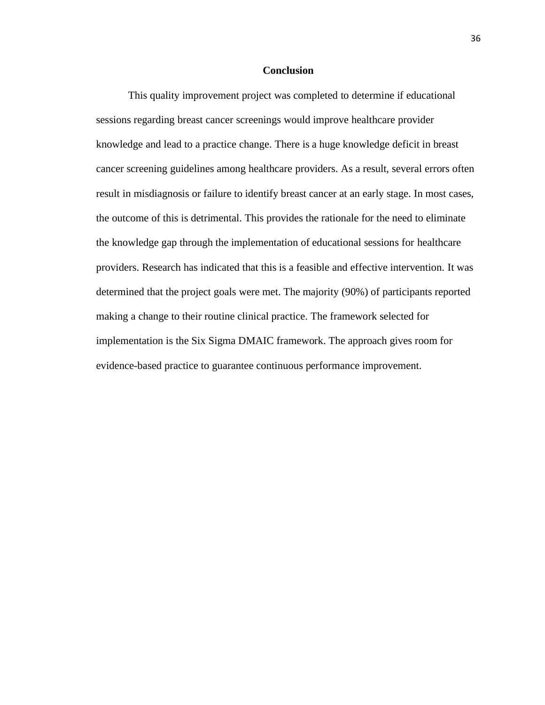#### **Conclusion**

This quality improvement project was completed to determine if educational sessions regarding breast cancer screenings would improve healthcare provider knowledge and lead to a practice change. There is a huge knowledge deficit in breast cancer screening guidelines among healthcare providers. As a result, several errors often result in misdiagnosis or failure to identify breast cancer at an early stage. In most cases, the outcome of this is detrimental. This provides the rationale for the need to eliminate the knowledge gap through the implementation of educational sessions for healthcare providers. Research has indicated that this is a feasible and effective intervention. It was determined that the project goals were met. The majority (90%) of participants reported making a change to their routine clinical practice. The framework selected for implementation is the Six Sigma DMAIC framework. The approach gives room for evidence-based practice to guarantee continuous performance improvement.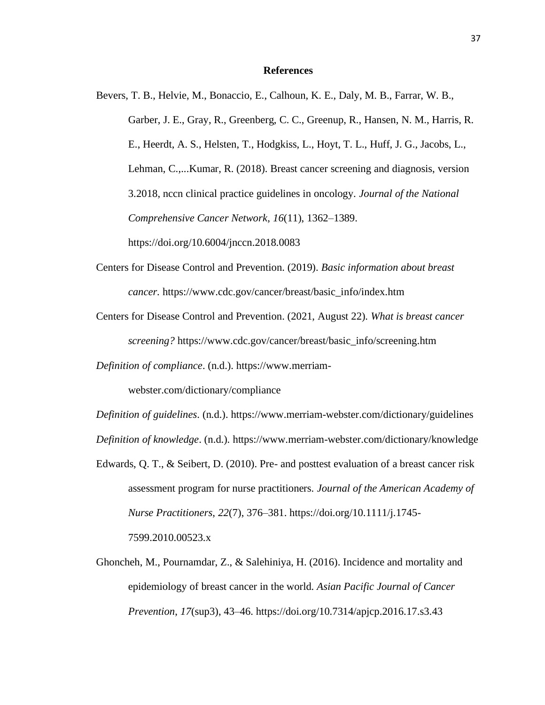#### **References**

Bevers, T. B., Helvie, M., Bonaccio, E., Calhoun, K. E., Daly, M. B., Farrar, W. B., Garber, J. E., Gray, R., Greenberg, C. C., Greenup, R., Hansen, N. M., Harris, R. E., Heerdt, A. S., Helsten, T., Hodgkiss, L., Hoyt, T. L., Huff, J. G., Jacobs, L., Lehman, C.,...Kumar, R. (2018). Breast cancer screening and diagnosis, version 3.2018, nccn clinical practice guidelines in oncology. *Journal of the National Comprehensive Cancer Network*, *16*(11), 1362–1389. https://doi.org/10.6004/jnccn.2018.0083

- Centers for Disease Control and Prevention. (2019). *Basic information about breast cancer*. https://www.cdc.gov/cancer/breast/basic\_info/index.htm
- Centers for Disease Control and Prevention. (2021, August 22). *What is breast cancer screening?* https://www.cdc.gov/cancer/breast/basic\_info/screening.htm
- *Definition of compliance*. (n.d.). https://www.merriam-

webster.com/dictionary/compliance

*Definition of guidelines*. (n.d.).<https://www.merriam-webster.com/dictionary/guidelines> *Definition of knowledge*. (n.d.). https://www.merriam-webster.com/dictionary/knowledge

- Edwards, Q. T., & Seibert, D. (2010). Pre- and posttest evaluation of a breast cancer risk assessment program for nurse practitioners. *Journal of the American Academy of Nurse Practitioners*, *22*(7), 376–381. [https://doi.org/10.1111/j.1745-](https://doi.org/10.1111/j.1745-7599.2010.00523.x) [7599.2010.00523.x](https://doi.org/10.1111/j.1745-7599.2010.00523.x)
- Ghoncheh, M., Pournamdar, Z., & Salehiniya, H. (2016). Incidence and mortality and epidemiology of breast cancer in the world. *Asian Pacific Journal of Cancer Prevention*, *17*(sup3), 43–46.<https://doi.org/10.7314/apjcp.2016.17.s3.43>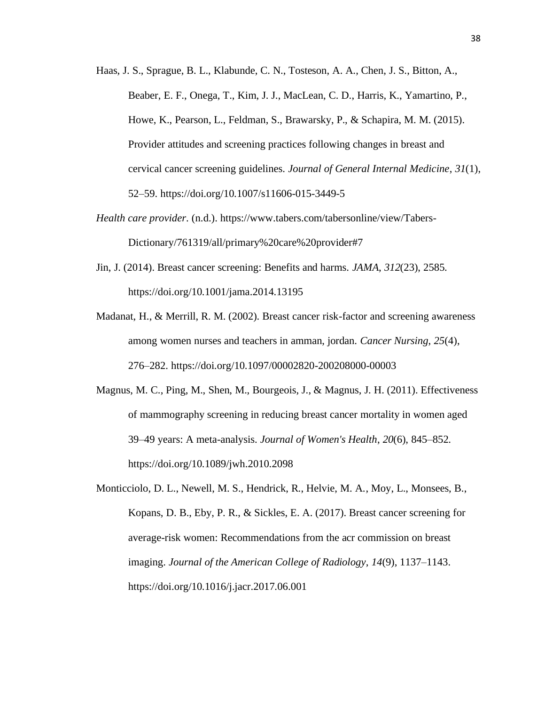- Haas, J. S., Sprague, B. L., Klabunde, C. N., Tosteson, A. A., Chen, J. S., Bitton, A., Beaber, E. F., Onega, T., Kim, J. J., MacLean, C. D., Harris, K., Yamartino, P., Howe, K., Pearson, L., Feldman, S., Brawarsky, P., & Schapira, M. M. (2015). Provider attitudes and screening practices following changes in breast and cervical cancer screening guidelines. *Journal of General Internal Medicine*, *31*(1), 52–59.<https://doi.org/10.1007/s11606-015-3449-5>
- *Health care provider*. (n.d.). [https://www.tabers.com/tabersonline/view/Tabers-](https://www.tabers.com/tabersonline/view/Tabers-Dictionary/761319/all/primary%20care%20provider#7)[Dictionary/761319/all/primary%20care%20provider#7](https://www.tabers.com/tabersonline/view/Tabers-Dictionary/761319/all/primary%20care%20provider#7)
- Jin, J. (2014). Breast cancer screening: Benefits and harms. *JAMA*, *312*(23), 2585. <https://doi.org/10.1001/jama.2014.13195>
- Madanat, H., & Merrill, R. M. (2002). Breast cancer risk-factor and screening awareness among women nurses and teachers in amman, jordan. *Cancer Nursing*, *25*(4), 276–282.<https://doi.org/10.1097/00002820-200208000-00003>
- Magnus, M. C., Ping, M., Shen, M., Bourgeois, J., & Magnus, J. H. (2011). Effectiveness of mammography screening in reducing breast cancer mortality in women aged 39–49 years: A meta-analysis. *Journal of Women's Health*, *20*(6), 845–852. <https://doi.org/10.1089/jwh.2010.2098>
- Monticciolo, D. L., Newell, M. S., Hendrick, R., Helvie, M. A., Moy, L., Monsees, B., Kopans, D. B., Eby, P. R., & Sickles, E. A. (2017). Breast cancer screening for average-risk women: Recommendations from the acr commission on breast imaging. *Journal of the American College of Radiology*, *14*(9), 1137–1143. <https://doi.org/10.1016/j.jacr.2017.06.001>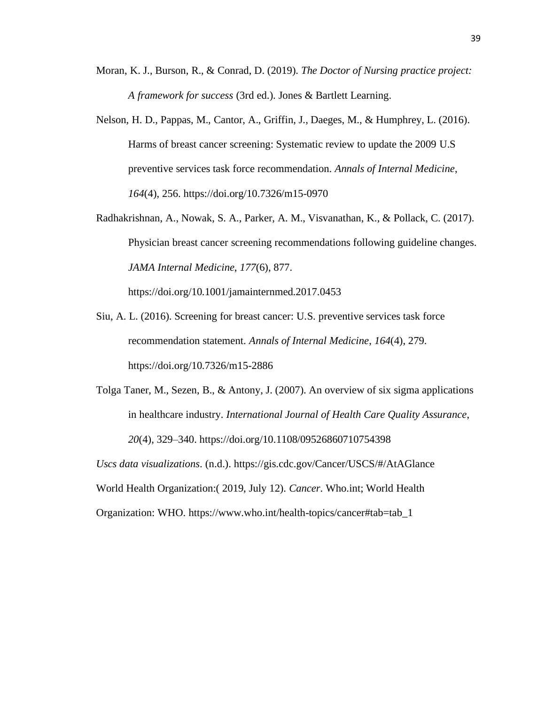- Moran, K. J., Burson, R., & Conrad, D. (2019). *The Doctor of Nursing practice project: A framework for success* (3rd ed.). Jones & Bartlett Learning.
- Nelson, H. D., Pappas, M., Cantor, A., Griffin, J., Daeges, M., & Humphrey, L. (2016). Harms of breast cancer screening: Systematic review to update the 2009 U.S preventive services task force recommendation. *Annals of Internal Medicine*, *164*(4), 256.<https://doi.org/10.7326/m15-0970>
- Radhakrishnan, A., Nowak, S. A., Parker, A. M., Visvanathan, K., & Pollack, C. (2017). Physician breast cancer screening recommendations following guideline changes. *JAMA Internal Medicine*, *177*(6), 877.

<https://doi.org/10.1001/jamainternmed.2017.0453>

- Siu, A. L. (2016). Screening for breast cancer: U.S. preventive services task force recommendation statement. *Annals of Internal Medicine*, *164*(4), 279. <https://doi.org/10.7326/m15-2886>
- Tolga Taner, M., Sezen, B., & Antony, J. (2007). An overview of six sigma applications in healthcare industry. *International Journal of Health Care Quality Assurance*, *20*(4), 329–340.<https://doi.org/10.1108/09526860710754398>

*Uscs data visualizations*. (n.d.).<https://gis.cdc.gov/Cancer/USCS/#/AtAGlance>

World Health Organization:( 2019, July 12). *Cancer*. Who.int; World Health

Organization: WHO. [https://www.who.int/health-topics/cancer#tab=tab\\_1](https://www.who.int/health-topics/cancer#tab=tab_1)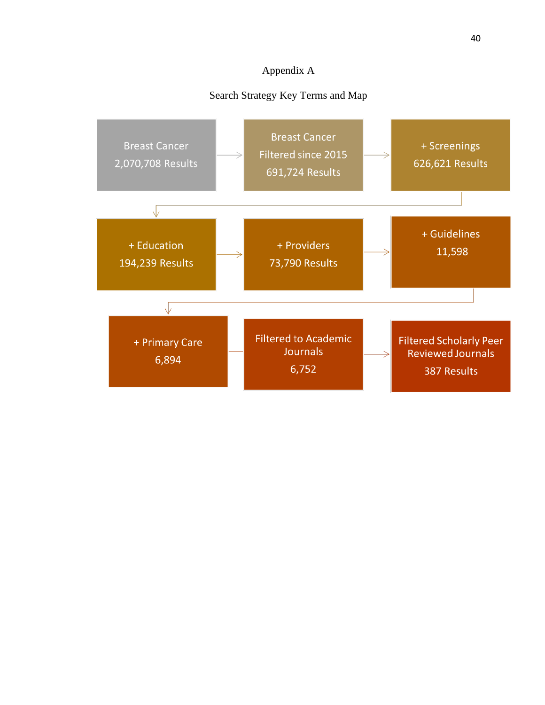## Appendix A

## Search Strategy Key Terms and Map

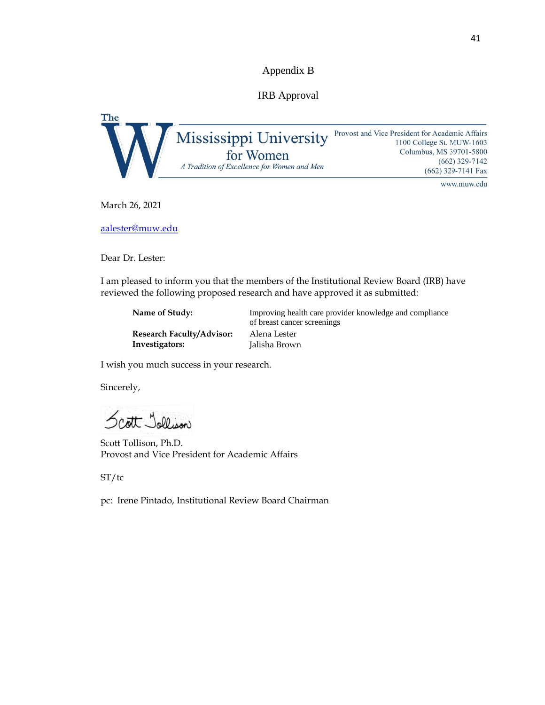Appendix B

IRB Approval

The Mississippi University Provost and Vice President for Academic Affairs 1100 College St. MUW-1603 Columbus, MS 39701-5800 for Women  $(662)$  329-7142 A Tradition of Excellence for Women and Men (662) 329-7141 Fax

www.muw.edu

March 26, 2021

aalester@muw.edu

Dear Dr. Lester:

I am pleased to inform you that the members of the Institutional Review Board (IRB) have reviewed the following proposed research and have approved it as submitted:

| Name of Study:                   | Improving health care provider knowledge and compliance<br>of breast cancer screenings |
|----------------------------------|----------------------------------------------------------------------------------------|
| <b>Research Faculty/Advisor:</b> | Alena Lester                                                                           |
| Investigators:                   | Jalisha Brown                                                                          |

I wish you much success in your research.

Sincerely,

Scott Jollison

Scott Tollison, Ph.D. Provost and Vice President for Academic Affairs

ST/tc

pc: Irene Pintado, Institutional Review Board Chairman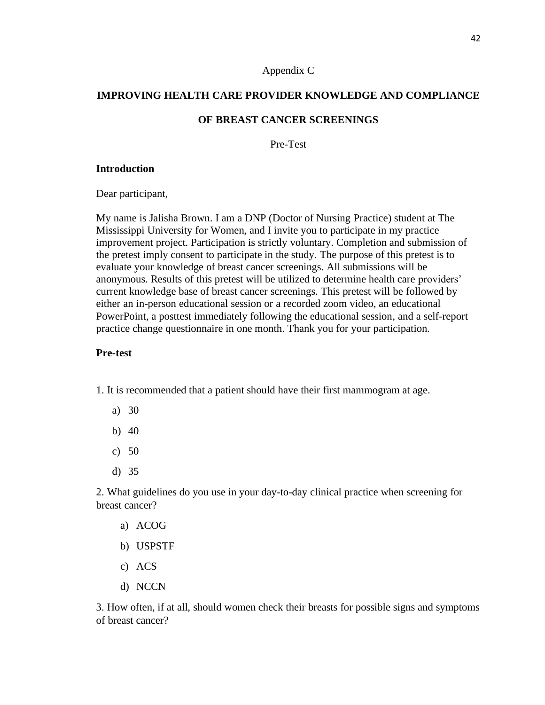#### Appendix C

## **IMPROVING HEALTH CARE PROVIDER KNOWLEDGE AND COMPLIANCE**

#### **OF BREAST CANCER SCREENINGS**

Pre-Test

#### **Introduction**

Dear participant,

My name is Jalisha Brown. I am a DNP (Doctor of Nursing Practice) student at The Mississippi University for Women, and I invite you to participate in my practice improvement project. Participation is strictly voluntary. Completion and submission of the pretest imply consent to participate in the study. The purpose of this pretest is to evaluate your knowledge of breast cancer screenings. All submissions will be anonymous. Results of this pretest will be utilized to determine health care providers' current knowledge base of breast cancer screenings. This pretest will be followed by either an in-person educational session or a recorded zoom video, an educational PowerPoint, a posttest immediately following the educational session, and a self-report practice change questionnaire in one month. Thank you for your participation.

#### **Pre-test**

1. It is recommended that a patient should have their first mammogram at age.

- a) 30
- b) 40
- c) 50
- d) 35

2. What guidelines do you use in your day-to-day clinical practice when screening for breast cancer?

- a) ACOG
- b) USPSTF
- c) ACS
- d) NCCN

3. How often, if at all, should women check their breasts for possible signs and symptoms of breast cancer?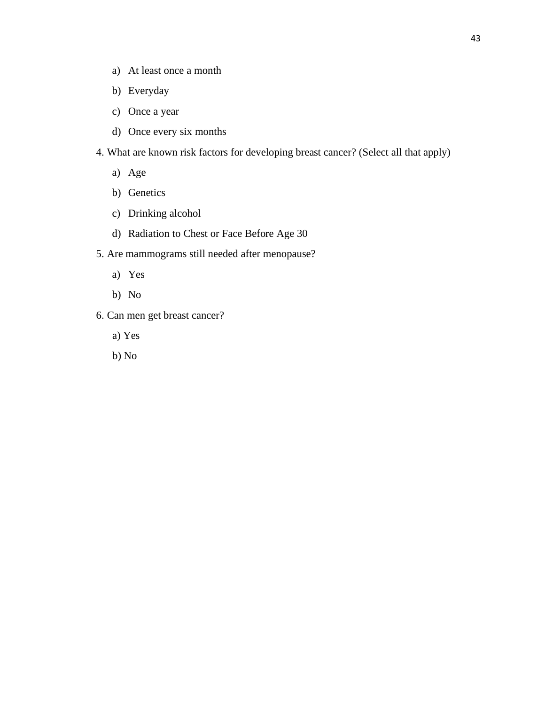- a) At least once a month
- b) Everyday
- c) Once a year
- d) Once every six months
- 4. What are known risk factors for developing breast cancer? (Select all that apply)
	- a) Age
	- b) Genetics
	- c) Drinking alcohol
	- d) Radiation to Chest or Face Before Age 30
- 5. Are mammograms still needed after menopause?
	- a) Yes
	- b) No
- 6. Can men get breast cancer?
	- a) Yes
	- b) No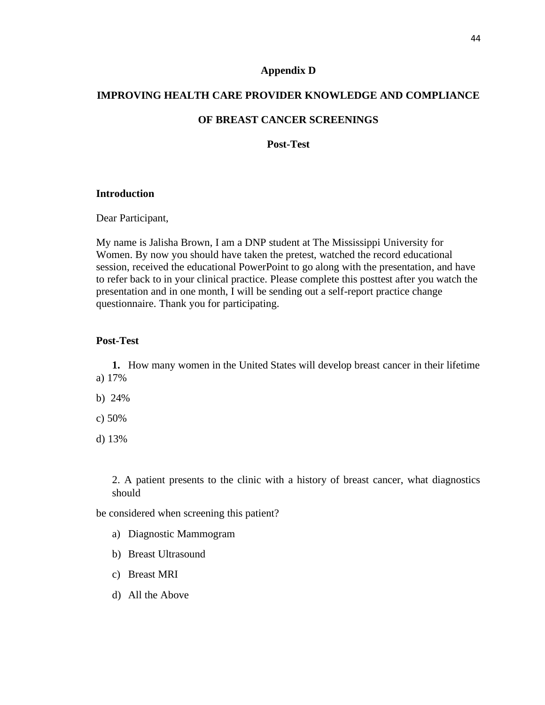#### **Appendix D**

## **IMPROVING HEALTH CARE PROVIDER KNOWLEDGE AND COMPLIANCE**

#### **OF BREAST CANCER SCREENINGS**

**Post-Test** 

#### **Introduction**

Dear Participant,

My name is Jalisha Brown, I am a DNP student at The Mississippi University for Women. By now you should have taken the pretest, watched the record educational session, received the educational PowerPoint to go along with the presentation, and have to refer back to in your clinical practice. Please complete this posttest after you watch the presentation and in one month, I will be sending out a self-report practice change questionnaire. Thank you for participating.

#### **Post-Test**

**1.** How many women in the United States will develop breast cancer in their lifetime a) 17%

b) 24%

c) 50%

d) 13%

2. A patient presents to the clinic with a history of breast cancer, what diagnostics should

be considered when screening this patient?

- a) Diagnostic Mammogram
- b) Breast Ultrasound
- c) Breast MRI
- d) All the Above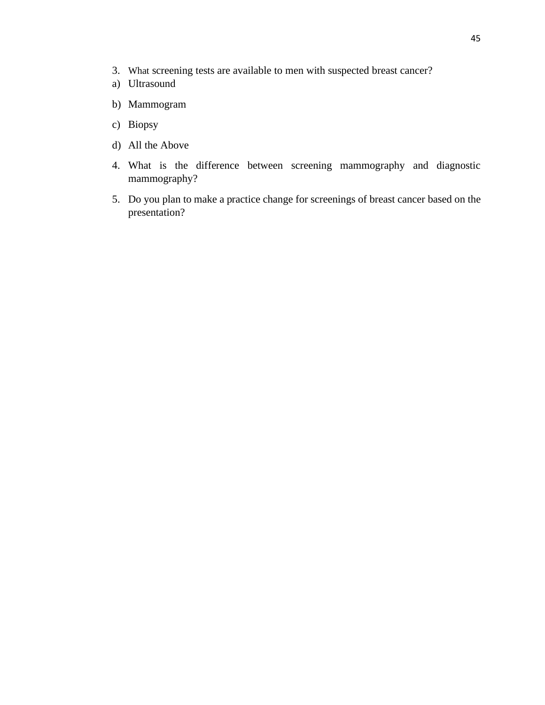- 3. What screening tests are available to men with suspected breast cancer?
- a) Ultrasound
- b) Mammogram
- c) Biopsy
- d) All the Above
- 4. What is the difference between screening mammography and diagnostic mammography?
- 5. Do you plan to make a practice change for screenings of breast cancer based on the presentation?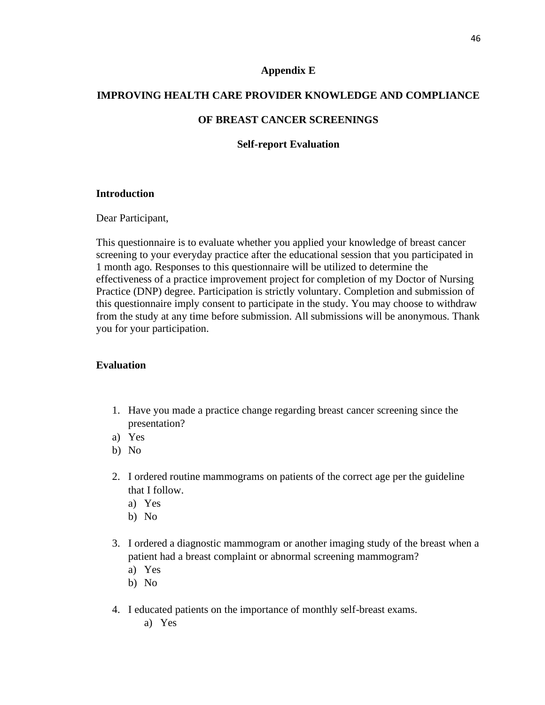#### **Appendix E**

## **IMPROVING HEALTH CARE PROVIDER KNOWLEDGE AND COMPLIANCE**

#### **OF BREAST CANCER SCREENINGS**

#### **Self-report Evaluation**

#### **Introduction**

Dear Participant,

This questionnaire is to evaluate whether you applied your knowledge of breast cancer screening to your everyday practice after the educational session that you participated in 1 month ago. Responses to this questionnaire will be utilized to determine the effectiveness of a practice improvement project for completion of my Doctor of Nursing Practice (DNP) degree. Participation is strictly voluntary. Completion and submission of this questionnaire imply consent to participate in the study. You may choose to withdraw from the study at any time before submission. All submissions will be anonymous. Thank you for your participation.

#### **Evaluation**

- 1. Have you made a practice change regarding breast cancer screening since the presentation?
- a) Yes
- b) No
- 2. I ordered routine mammograms on patients of the correct age per the guideline that I follow.
	- a) Yes
	- b) No
- 3. I ordered a diagnostic mammogram or another imaging study of the breast when a patient had a breast complaint or abnormal screening mammogram?
	- a) Yes
	- b) No

a) Yes

4. I educated patients on the importance of monthly self-breast exams.

 $46$